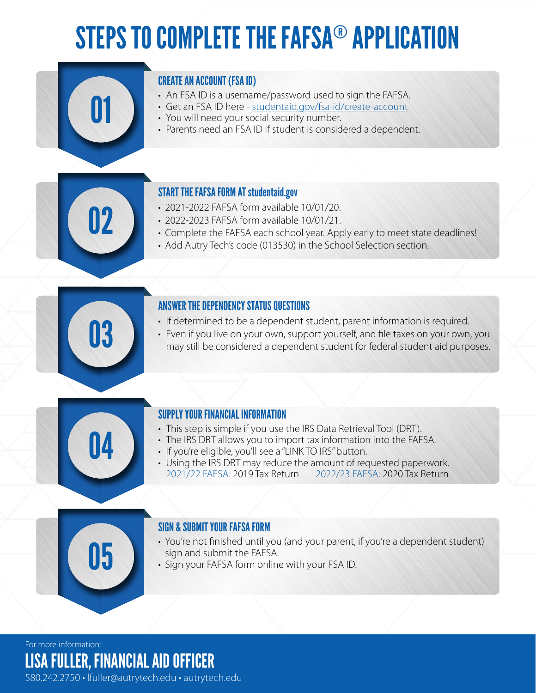# STEPS TO COMPLETE THE FAFSA® APPLICATION

### CREATE AN ACCOUNT (FSA ID)

- An FSA ID is a username/password used to sign the FAFSA.
- Get an FSA ID here studentaid.gov/fsa-id/create-account
- You will need your social security number.
- Parents need an FSA ID if student is considered a dependent.

#### START THE FAFSA FORM AT studentaid.gov

- 2021-2022 FAFSA form available 10/01/20.
- 2022-2023 FAFSA form available 10/01/21.
- Complete the FAFSA each school year. Apply early to meet state deadlines!
- Add Autry Tech's code (013530) in the School Selection section.

#### ANSWER THE DEPENDENCY STATUS QUESTIONS

- If determined to be a dependent student, parent information is required.
- France of the construction of the student student, parent information is required.<br>• Even if you live on your own, support yourself, and file taxes on your own, you may still be considered a dependent student for federal



01

12

#### SUPPLY YOUR FINANCIAL INFORMATION

- This step is simple if you use the IRS Data Retrieval Tool (DRT).
- The IRS DRT allows you to import tax information into the FAFSA.
- If you're eligible, you'll see a "LINK TO IRS" button.
- Using the IRS DRT may reduce the amount of requested paperwork. 2021/22 FAFSA: 2019 Tax Return 2022/23 FAFSA: 2020 Tax Return

#### SIGN & SUBMIT YOUR FAFSA FORM

- You're not finished until you (and your parent, if you're a dependent student) **Sign and submit the FAFSA.**<br>
Sign your FAFSA form online with your FSA ID.
	-

For more information:

LISA FULLER, FINANCIAL AID OFFICER

580.242.2750 • lfuller@autrytech.edu • autrytech.edu